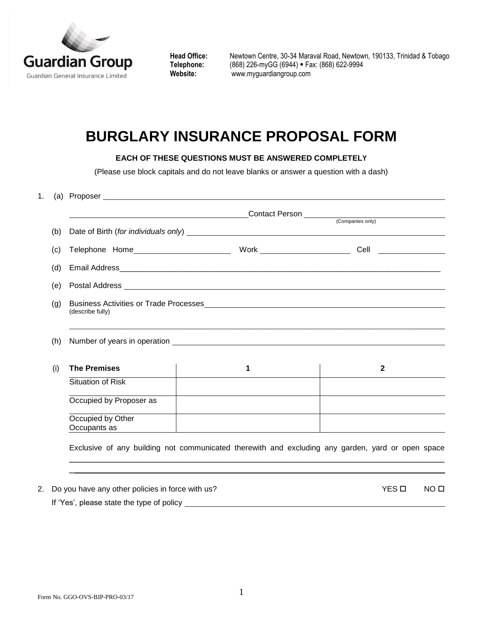

Head Office: Newtown Centre, 30-34 Maraval Road, Newtown, 190133, Trinidad & Tobago<br>Telephone: (868) 226-myGG (6944) = Fax: (868) 622-9994 **Telephone:** (868) 226-myGG (6944) **Fax: (868) 622-9994**<br>
Website: www.myguardiangroup.com **Website:** [www.myguardiangroup.com](http://www.myguardiangroup.com/)

## **BURGLARY INSURANCE PROPOSAL FORM**

## **EACH OF THESE QUESTIONS MUST BE ANSWERED COMPLETELY**

(Please use block capitals and do not leave blanks or answer a question with a dash)

1. (a) Proposer

|                                   |                                                                                                                       | Contact Person (Companies only)        |
|-----------------------------------|-----------------------------------------------------------------------------------------------------------------------|----------------------------------------|
|                                   |                                                                                                                       |                                        |
|                                   |                                                                                                                       |                                        |
|                                   |                                                                                                                       |                                        |
|                                   |                                                                                                                       |                                        |
| (describe fully)                  |                                                                                                                       |                                        |
|                                   |                                                                                                                       |                                        |
| <b>The Premises</b>               | 1                                                                                                                     | $\mathbf{2}$                           |
| <b>Situation of Risk</b>          |                                                                                                                       |                                        |
| Occupied by Proposer as           |                                                                                                                       |                                        |
| Occupied by Other<br>Occupants as | <u> 1989 - Johann Barbara, martin amerikan basal dan berasal dalam basal dalam basal dalam basal dalam basal dala</u> |                                        |
|                                   |                                                                                                                       |                                        |
|                                   |                                                                                                                       | Business Activities or Trade Processes |

If 'Yes', please state the type of policy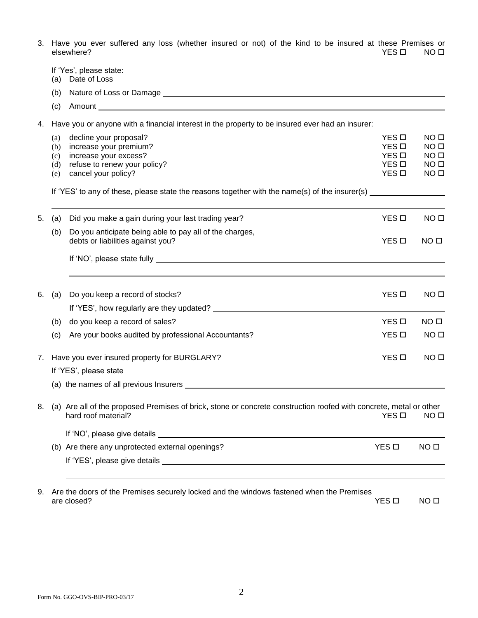3. Have you ever suffered any loss (whether insured or not) of the kind to be insured at these Premises or elsewhere? elsewhere? The contract of the contract of the contract of the contract of the contract of the contract of the contract of the contract of the contract of the contract of the contract of the contract of the contract of the

|    |                                 | If 'Yes', please state:                                                                                                                                                                                                        |                                                                    |                                                                                                  |
|----|---------------------------------|--------------------------------------------------------------------------------------------------------------------------------------------------------------------------------------------------------------------------------|--------------------------------------------------------------------|--------------------------------------------------------------------------------------------------|
|    | (b)                             | Nature of Loss or Damage <b>contained a manufacture of Loss or Damage</b>                                                                                                                                                      |                                                                    |                                                                                                  |
|    | (c)                             | Amount that the contract of the contract of the contract of the contract of the contract of the contract of the contract of the contract of the contract of the contract of the contract of the contract of the contract of th |                                                                    |                                                                                                  |
| 4. |                                 | Have you or anyone with a financial interest in the property to be insured ever had an insurer:                                                                                                                                |                                                                    |                                                                                                  |
|    | (a)<br>(b)<br>(c)<br>(d)<br>(e) | decline your proposal?<br>increase your premium?<br>increase your excess?<br>refuse to renew your policy?<br>cancel your policy?                                                                                               | YES O<br>YES D<br>YES <sub>D</sub><br>YES <b>D</b><br>YES <b>D</b> | NO <sub>II</sub><br>NO <sub>II</sub><br>NO <sub>II</sub><br>NO <sub>II</sub><br>NO <sub>II</sub> |
|    |                                 | If 'YES' to any of these, please state the reasons together with the name(s) of the insurer(s)                                                                                                                                 |                                                                    |                                                                                                  |
| 5. | (a)                             | Did you make a gain during your last trading year?                                                                                                                                                                             | YES O                                                              | NO <sub>0</sub>                                                                                  |
|    | (b)                             | Do you anticipate being able to pay all of the charges,<br>debts or liabilities against you?                                                                                                                                   | YES <sub>D</sub>                                                   | NO <sub>II</sub>                                                                                 |
|    |                                 |                                                                                                                                                                                                                                |                                                                    |                                                                                                  |
| 6. | (a)                             | Do you keep a record of stocks?                                                                                                                                                                                                | YES O                                                              | NO <sub>II</sub>                                                                                 |
|    |                                 |                                                                                                                                                                                                                                |                                                                    |                                                                                                  |
|    | (b)                             | do you keep a record of sales?                                                                                                                                                                                                 | YES □<br>YES <sub>D</sub>                                          | NO <sub>0</sub><br>NO <sub>0</sub>                                                               |
|    | (c)                             | Are your books audited by professional Accountants?                                                                                                                                                                            |                                                                    |                                                                                                  |
| 7. |                                 | Have you ever insured property for BURGLARY?<br>If 'YES', please state                                                                                                                                                         | YES <b>□</b>                                                       | NO <sub>0</sub>                                                                                  |
|    |                                 | 8. (a) Are all of the proposed Premises of brick, stone or concrete construction roofed with concrete, metal or other<br>hard roof material?                                                                                   | YES <sub>D</sub>                                                   | NO <sub>II</sub>                                                                                 |
|    |                                 |                                                                                                                                                                                                                                |                                                                    |                                                                                                  |
|    |                                 | (b) Are there any unprotected external openings?                                                                                                                                                                               | YES D                                                              | NO <sub>II</sub>                                                                                 |
|    |                                 |                                                                                                                                                                                                                                |                                                                    |                                                                                                  |

9. Are the doors of the Premises securely locked and the windows fastened when the Premises are closed? NO  $\Box$  NO  $\Box$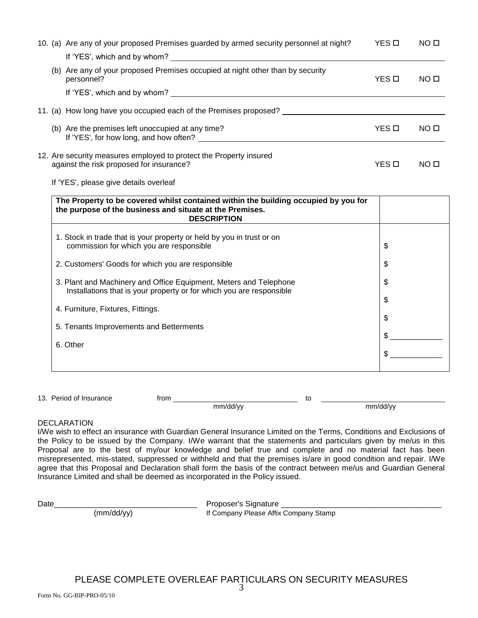|  | 10. (a) Are any of your proposed Premises guarded by armed security personnel at night?                                                                               | YES □ | NO <sub>II</sub> |
|--|-----------------------------------------------------------------------------------------------------------------------------------------------------------------------|-------|------------------|
|  |                                                                                                                                                                       |       |                  |
|  | (b) Are any of your proposed Premises occupied at night other than by security<br>personnel?                                                                          | YES □ | NO <sub>II</sub> |
|  |                                                                                                                                                                       |       |                  |
|  | 11. (a) How long have you occupied each of the Premises proposed?                                                                                                     |       |                  |
|  | (b) Are the premises left unoccupied at any time?<br>If 'YES', for how long, and how often?                                                                           | YES O | NO <sub>II</sub> |
|  | 12. Are security measures employed to protect the Property insured<br>against the risk proposed for insurance?                                                        | YES O | NO <sub>0</sub>  |
|  | If 'YES', please give details overleaf                                                                                                                                |       |                  |
|  | The Property to be covered whilst contained within the building occupied by you for<br>the purpose of the business and situate at the Premises.<br><b>DESCRIPTION</b> |       |                  |
|  | 1. Stock in trade that is your property or held by you in trust or on                                                                                                 |       |                  |

\$

\$

\$

\$

\$

 $$$   $\overline{\phantom{a}}$ 

 $\text{\$}$   $\_\$ 

commission for which you are responsible

5. Tenants Improvements and Betterments

4. Furniture, Fixtures, Fittings.

6. Other

DECLARATION

2. Customers' Goods for which you are responsible

3. Plant and Machinery and Office Equipment, Meters and Telephone Installations that is your property or for which you are responsible

13. Period of Insurance from <u>example and the set of the set of the set of the set of the set of the set of the s</u>

Insurance Limited and shall be deemed as incorporated in the Policy issued.

Date\_\_\_\_\_\_\_\_\_\_\_\_\_\_\_\_\_\_\_\_\_\_\_\_\_\_\_\_\_\_\_\_\_ Proposer's Signature \_\_\_\_\_\_\_\_\_\_\_\_\_\_\_\_\_\_\_\_\_\_\_\_\_\_\_\_\_\_\_\_\_\_\_\_\_

| PLEASE COMPLETE OVERLEAF PARTICULARS ON SECURITY MEASURES |
|-----------------------------------------------------------|
|                                                           |

(mm/dd/yy) If Company Please Affix Company Stamp

I/We wish to effect an insurance with Guardian General Insurance Limited on the Terms, Conditions and Exclusions of the Policy to be issued by the Company. I/We warrant that the statements and particulars given by me/us in this Proposal are to the best of my/our knowledge and belief true and complete and no material fact has been misrepresented, mis-stated, suppressed or withheld and that the premises is/are in good condition and repair. I/We agree that this Proposal and Declaration shall form the basis of the contract between me/us and Guardian General

mm/dd/yy mm/dd/yy